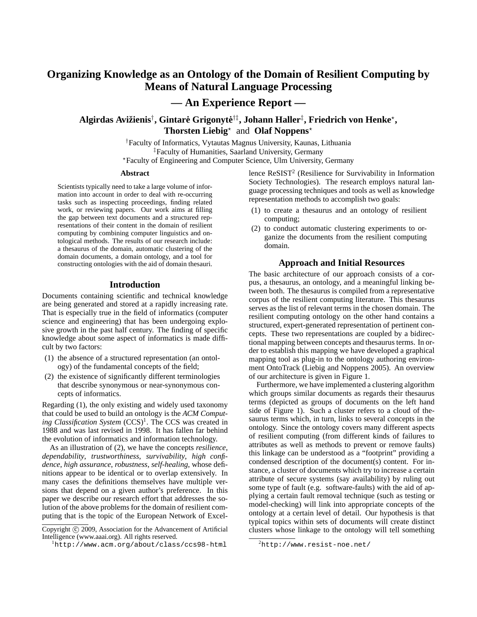# **Organizing Knowledge as an Ontology of the Domain of Resilient Computing by Means of Natural Language Processing**

**— An Experience Report —**

## $\mathbf{A}$ lgirdas Avižienis†, Gintarė Grigonyt놇, Johann Haller‡, Friedrich von Henke\*, **Thorsten Liebig**? and **Olaf Noppens**?

†Faculty of Informatics, Vytautas Magnus University, Kaunas, Lithuania ‡Faculty of Humanities, Saarland University, Germany

?Faculty of Engineering and Computer Science, Ulm University, Germany

#### **Abstract**

Scientists typically need to take a large volume of information into account in order to deal with re-occurring tasks such as inspecting proceedings, finding related work, or reviewing papers. Our work aims at filling the gap between text documents and a structured representations of their content in the domain of resilient computing by combining computer linguistics and ontological methods. The results of our research include: a thesaurus of the domain, automatic clustering of the domain documents, a domain ontology, and a tool for constructing ontologies with the aid of domain thesauri.

#### **Introduction**

Documents containing scientific and technical knowledge are being generated and stored at a rapidly increasing rate. That is especially true in the field of informatics (computer science and engineering) that has been undergoing explosive growth in the past half century. The finding of specific knowledge about some aspect of informatics is made difficult by two factors:

- (1) the absence of a structured representation (an ontology) of the fundamental concepts of the field;
- (2) the existence of significantly different terminologies that describe synonymous or near-synonymous concepts of informatics.

Regarding (1), the only existing and widely used taxonomy that could be used to build an ontology is the *ACM Comput*ing Classification System (CCS)<sup>1</sup>. The CCS was created in 1988 and was last revised in 1998. It has fallen far behind the evolution of informatics and information technology.

As an illustration of (2), we have the concepts *resilience*, *dependability*, *trustworthiness*, *survivability*, *high confidence*, *high assurance*, *robustness*, *self-healing*, whose definitions appear to be identical or to overlap extensively. In many cases the definitions themselves have multiple versions that depend on a given author's preference. In this paper we describe our research effort that addresses the solution of the above problems for the domain of resilient computing that is the topic of the European Network of Excel-

lence ReSIST<sup>2</sup> (Resilience for Survivability in Information Society Technologies). The research employs natural language processing techniques and tools as well as knowledge representation methods to accomplish two goals:

- (1) to create a thesaurus and an ontology of resilient computing;
- (2) to conduct automatic clustering experiments to organize the documents from the resilient computing domain.

## **Approach and Initial Resources**

The basic architecture of our approach consists of a corpus, a thesaurus, an ontology, and a meaningful linking between both. The thesaurus is compiled from a representative corpus of the resilient computing literature. This thesaurus serves as the list of relevant terms in the chosen domain. The resilient computing ontology on the other hand contains a structured, expert-generated representation of pertinent concepts. These two representations are coupled by a bidirectional mapping between concepts and thesaurus terms. In order to establish this mapping we have developed a graphical mapping tool as plug-in to the ontology authoring environment OntoTrack (Liebig and Noppens 2005). An overview of our architecture is given in Figure 1.

Furthermore, we have implemented a clustering algorithm which groups similar documents as regards their thesaurus terms (depicted as groups of documents on the left hand side of Figure 1). Such a cluster refers to a cloud of thesaurus terms which, in turn, links to several concepts in the ontology. Since the ontology covers many different aspects of resilient computing (from different kinds of failures to attributes as well as methods to prevent or remove faults) this linkage can be understood as a "footprint" providing a condensed description of the document(s) content. For instance, a cluster of documents which try to increase a certain attribute of secure systems (say availability) by ruling out some type of fault (e.g. software-faults) with the aid of applying a certain fault removal technique (such as testing or model-checking) will link into appropriate concepts of the ontology at a certain level of detail. Our hypothesis is that typical topics within sets of documents will create distinct clusters whose linkage to the ontology will tell something

Copyright (c) 2009, Association for the Advancement of Artificial Intelligence (www.aaai.org). All rights reserved.

<sup>1</sup>http://www.acm.org/about/class/ccs98-html

<sup>2</sup>http://www.resist-noe.net/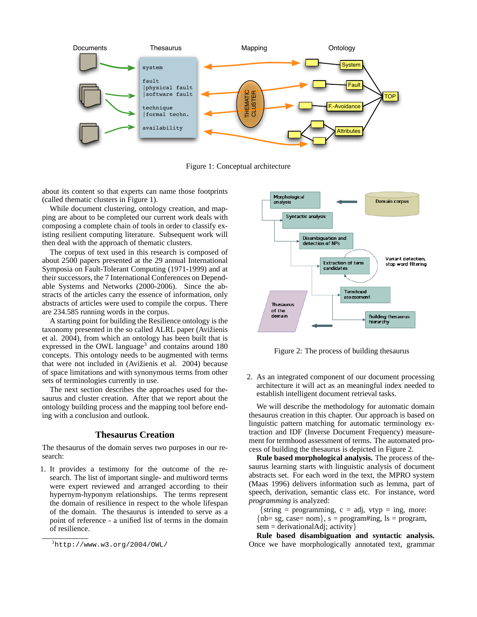

Figure 1: Conceptual architecture

about its content so that experts can name those footprints (called thematic clusters in Figure 1).

While document clustering, ontology creation, and mapping are about to be completed our current work deals with composing a complete chain of tools in order to classify existing resilient computing literature. Subsequent work will then deal with the approach of thematic clusters.

The corpus of text used in this research is composed of about 2500 papers presented at the 29 annual International Symposia on Fault-Tolerant Computing (1971-1999) and at their successors, the 7 International Conferences on Dependable Systems and Networks (2000-2006). Since the abstracts of the articles carry the essence of information, only abstracts of articles were used to compile the corpus. There are 234.585 running words in the corpus.

A starting point for building the Resilience ontology is the taxonomy presented in the so called ALRL paper (Avižienis et al. 2004), from which an ontology has been built that is expressed in the OWL language<sup>3</sup> and contains around  $180$ concepts. This ontology needs to be augmented with terms that were not included in (Avižienis et al. 2004) because of space limitations and with synonymous terms from other sets of terminologies currently in use.

The next section describes the approaches used for thesaurus and cluster creation. After that we report about the ontology building process and the mapping tool before ending with a conclusion and outlook.

#### **Thesaurus Creation**

The thesaurus of the domain serves two purposes in our research:

1. It provides a testimony for the outcome of the research. The list of important single- and multiword terms were expert reviewed and arranged according to their hypernym-hyponym relationships. The terms represent the domain of resilience in respect to the whole lifespan of the domain. The thesaurus is intended to serve as a point of reference - a unified list of terms in the domain of resilience.



Figure 2: The process of building thesaurus

2. As an integrated component of our document processing architecture it will act as an meaningful index needed to establish intelligent document retrieval tasks.

We will describe the methodology for automatic domain thesaurus creation in this chapter. Our approach is based on linguistic pattern matching for automatic terminology extraction and IDF (Inverse Document Frequency) measurement for termhood assessment of terms. The automated process of building the thesaurus is depicted in Figure 2.

**Rule based morphological analysis.** The process of thesaurus learning starts with linguistic analysis of document abstracts set. For each word in the text, the MPRO system (Maas 1996) delivers information such as lemma, part of speech, derivation, semantic class etc. For instance, word *programming* is analyzed:

 $\{\text{string} = \text{programming}, c = \text{adj}, \text{vtyp} = \text{ing}, \text{more:}\}$  ${nb=sg, case= nom}, s = program\#ing, ls = program,$ 

sem = derivationalAdj; activity}

**Rule based disambiguation and syntactic analysis.** Once we have morphologically annotated text, grammar

 $3$ http://www.w3.org/2004/OWL/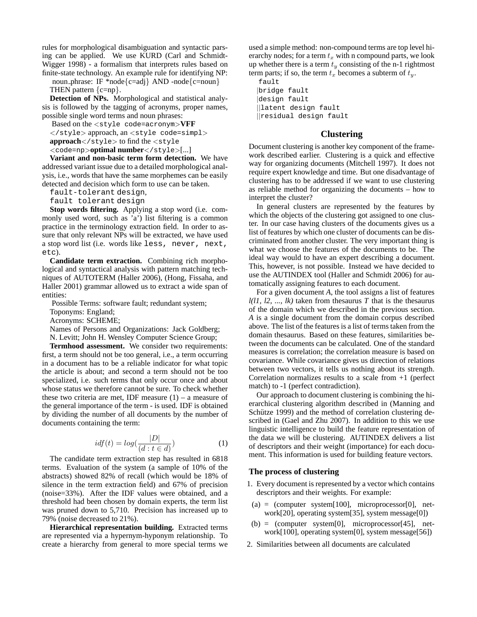rules for morphological disambiguation and syntactic parsing can be applied. We use KURD (Carl and Schmidt-Wigger 1998) - a formalism that interprets rules based on finite-state technology. An example rule for identifying NP:

noun\_phrase: IF \*node{c=adj} AND -node{c=noun} THEN pattern  $\{c=np\}$ .

**Detection of NPs.** Morphological and statistical analysis is followed by the tagging of acronyms, proper names, possible single word terms and noun phrases:

Based on the <style code=acronym>**VFF** </style> approach, an <style code=simpl> **approach**</style> to find the <style

<code=np>**optimal number**</style>[...]

**Variant and non-basic term form detection.** We have addressed variant issue due to a detailed morphological analysis, i.e., words that have the same morphemes can be easily detected and decision which form to use can be taken.

fault-tolerant design,

fault tolerant design

**Stop words filtering.** Applying a stop word (i.e. commonly used word, such as 'a') list filtering is a common practice in the terminology extraction field. In order to assure that only relevant NPs will be extracted, we have used a stop word list (i.e. words like less, never, next, etc).

**Candidate term extraction.** Combining rich morphological and syntactical analysis with pattern matching techniques of AUTOTERM (Haller 2006), (Hong, Fissaha, and Haller 2001) grammar allowed us to extract a wide span of entities:

Possible Terms: software fault; redundant system;

Toponyms: England;

Acronyms: SCHEME;

Names of Persons and Organizations: Jack Goldberg;

N. Levitt; John H. Wensley Computer Science Group;

**Termhood assessment.** We consider two requirements: first, a term should not be too general, i.e., a term occurring in a document has to be a reliable indicator for what topic the article is about; and second a term should not be too specialized, i.e. such terms that only occur once and about whose status we therefore cannot be sure. To check whether these two criteria are met, IDF measure  $(1)$  – a measure of the general importance of the term - is used. IDF is obtained by dividing the number of all documents by the number of documents containing the term:

$$
idf(t) = log(\frac{|D|}{(d:t \in d)})
$$
\n(1)

The candidate term extraction step has resulted in 6818 terms. Evaluation of the system (a sample of 10% of the abstracts) showed 82% of recall (which would be 18% of silence in the term extraction field) and 67% of precision (noise=33%). After the IDF values were obtained, and a threshold had been chosen by domain experts, the term list was pruned down to 5,710. Precision has increased up to 79% (noise decreased to 21%).

**Hierarchical representation building.** Extracted terms are represented via a hypernym-hyponym relationship. To create a hierarchy from general to more special terms we

used a simple method: non-compound terms are top level hierarchy nodes; for a term  $t_x$  with n compound parts, we look up whether there is a term  $t<sub>y</sub>$  consisting of the n-1 rightmost term parts; if so, the term  $t_x$  becomes a subterm of  $t_y$ .

fault |bridge fault |design fault ||latent design fault ||residual design fault

#### **Clustering**

Document clustering is another key component of the framework described earlier. Clustering is a quick and effective way for organizing documents (Mitchell 1997). It does not require expert knowledge and time. But one disadvantage of clustering has to be addressed if we want to use clustering as reliable method for organizing the documents – how to interpret the cluster?

In general clusters are represented by the features by which the objects of the clustering got assigned to one cluster. In our case having clusters of the documents gives us a list of features by which one cluster of documents can be discriminated from another cluster. The very important thing is what we choose the features of the documents to be. The ideal way would to have an expert describing a document. This, however, is not possible. Instead we have decided to use the AUTINDEX tool (Haller and Schmidt 2006) for automatically assigning features to each document.

For a given document *A*, the tool assigns a list of features *l(l1, l2, ..., lk)* taken from thesaurus *T* that is the thesaurus of the domain which we described in the previous section. *A* is a single document from the domain corpus described above. The list of the features is a list of terms taken from the domain thesaurus. Based on these features, similarities between the documents can be calculated. One of the standard measures is correlation; the correlation measure is based on covariance. While covariance gives us direction of relations between two vectors, it tells us nothing about its strength. Correlation normalizes results to a scale from +1 (perfect match) to -1 (perfect contradiction).

Our approach to document clustering is combining the hierarchical clustering algorithm described in (Manning and Schütze 1999) and the method of correlation clustering described in (Gael and Zhu 2007). In addition to this we use linguistic intelligence to build the feature representation of the data we will be clustering. AUTINDEX delivers a list of descriptors and their weight (importance) for each document. This information is used for building feature vectors.

## **The process of clustering**

- 1. Every document is represented by a vector which contains descriptors and their weights. For example:
- $(a) =$  (computer system[100], microprocessor[0], network[20], operating system[35], system message[0])
- $(b) =$  (computer system[0], microprocessor[45], network[100], operating system[0], system message[56])
- 2. Similarities between all documents are calculated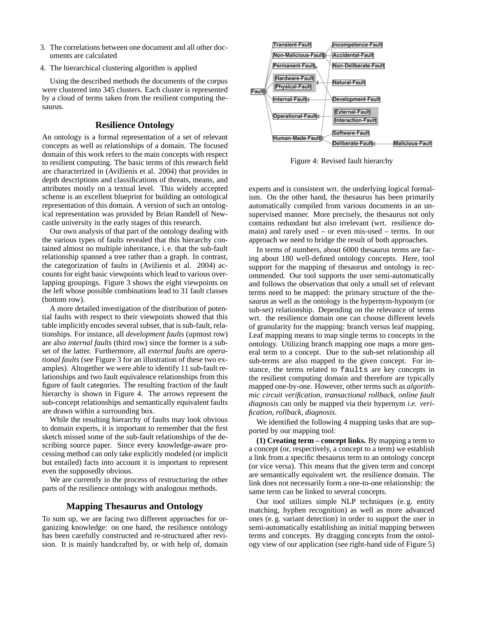- 3. The correlations between one document and all other documents are calculated
- 4. The hierarchical clustering algorithm is applied

Using the described methods the documents of the corpus were clustered into 345 clusters. Each cluster is represented by a cloud of terms taken from the resilient computing thesaurus.

## **Resilience Ontology**

An ontology is a formal representation of a set of relevant concepts as well as relationships of a domain. The focused domain of this work refers to the main concepts with respect to resilient computing. The basic terms of this research field are characterized in (Avižienis et al. 2004) that provides in depth descriptions and classifications of threats, means, and attributes mostly on a textual level. This widely accepted scheme is an excellent blueprint for building an ontological representation of this domain. A version of such an ontological representation was provided by Brian Randell of Newcastle university in the early stages of this research.

Our own analysis of that part of the ontology dealing with the various types of faults revealed that this hierarchy contained almost no multiple inheritance, i. e. that the sub-fault relationship spanned a tree rather than a graph. In contrast, the categorization of faults in (Avižienis et al.  $2004$ ) accounts for eight basic viewpoints which lead to various overlapping groupings. Figure 3 shows the eight viewpoints on the left whose possible combinations lead to 31 fault classes (bottom row).

A more detailed investigation of the distribution of potential faults with respect to their viewpoints showed that this table implicitly encodes several subset, that is sub-fault, relationships. For instance, all *development faults* (upmost row) are also *internal faults* (third row) since the former is a subset of the latter. Furthermore, all *external faults* are *operational faults* (see Figure 3 for an illustration of these two examples). Altogether we were able to identify 11 sub-fault relationships and two fault equivalence relationships from this figure of fault categories. The resulting fraction of the fault hierarchy is shown in Figure 4. The arrows represent the sub-concept relationships and semantically equivalent faults are drawn within a surrounding box.

While the resulting hierarchy of faults may look obvious to domain experts, it is important to remember that the first sketch missed some of the sub-fault relationships of the describing source paper. Since every knowledge-aware processing method can only take explicitly modeled (or implicit but entailed) facts into account it is important to represent even the supposedly obvious.

We are currently in the process of restructuring the other parts of the resilience ontology with analogous methods.

## **Mapping Thesaurus and Ontology**

To sum up, we are facing two different approaches for organizing knowledge: on one hand, the resilience ontology has been carefully constructed and re-structured after revision. It is mainly handcrafted by, or with help of, domain



Figure 4: Revised fault hierarchy

experts and is consistent wrt. the underlying logical formalism. On the other hand, the thesaurus has been primarily automatically compiled from various documents in an unsupervised manner. More precisely, the thesaurus not only contains redundant but also irrelevant (wrt. resilience domain) and rarely used – or even mis-used – terms. In our approach we need to bridge the result of both approaches.

In terms of numbers, about 6000 thesaurus terms are facing about 180 well-defined ontology concepts. Here, tool support for the mapping of thesaurus and ontology is recommended. Our tool supports the user semi-automatically and follows the observation that only a small set of relevant terms need to be mapped: the primary structure of the thesaurus as well as the ontology is the hypernym-hyponym (or sub-set) relationship. Depending on the relevance of terms wrt. the resilience domain one can choose different levels of granularity for the mapping: branch versus leaf mapping. Leaf mapping means to map single terms to concepts in the ontology. Utilizing branch mapping one maps a more general term to a concept. Due to the sub-set relationship all sub-terms are also mapped to the given concept. For instance, the terms related to faults are key concepts in the resilient computing domain and therefore are typically mapped one-by-one. However, other terms such as *algorithmic circuit verification, transactional rollback, online fault diagnosis* can only be mapped via their hypernym *i.e. verification, rollback, diagnosis*.

We identified the following 4 mapping tasks that are supported by our mapping tool:

**(1) Creating term – concept links.** By mapping a term to a concept (or, respectively, a concept to a term) we establish a link from a specific thesaurus term to an ontology concept (or vice versa). This means that the given term and concept are semantically equivalent wrt. the resilience domain. The link does not necessarily form a one-to-one relationship: the same term can be linked to several concepts.

Our tool utilizes simple NLP techniques (e. g. entity matching, hyphen recognition) as well as more advanced ones (e. g. variant detection) in order to support the user in semi-automatically establishing an initial mapping between terms and concepts. By dragging concepts from the ontology view of our application (see right-hand side of Figure 5)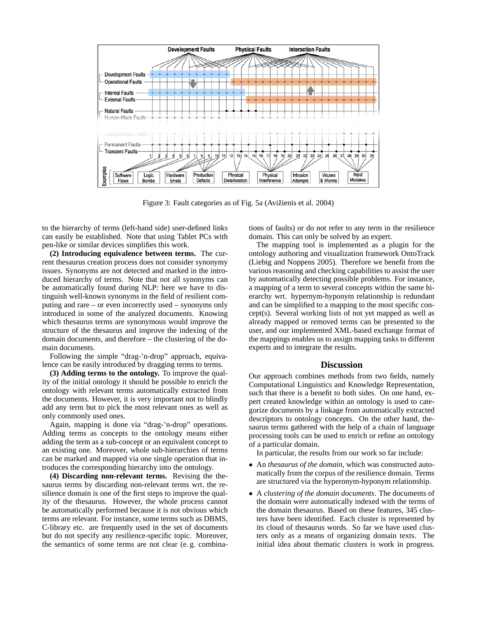

Figure 3: Fault categories as of Fig. 5a (Avižienis et al. 2004)

to the hierarchy of terms (left-hand side) user-defined links can easily be established. Note that using Tablet PCs with pen-like or similar devices simplifies this work.

**(2) Introducing equivalence between terms.** The current thesaurus creation process does not consider synonymy issues. Synonyms are not detected and marked in the introduced hierarchy of terms. Note that not all synonyms can be automatically found during NLP: here we have to distinguish well-known synonyms in the field of resilient computing and rare – or even incorrectly used – synonyms only introduced in some of the analyzed documents. Knowing which thesaurus terms are synonymous would improve the structure of the thesaurus and improve the indexing of the domain documents, and therefore – the clustering of the domain documents.

Following the simple "drag-'n-drop" approach, equivalence can be easily introduced by dragging terms to terms.

**(3) Adding terms to the ontology.** To improve the quality of the initial ontology it should be possible to enrich the ontology with relevant terms automatically extracted from the documents. However, it is very important not to blindly add any term but to pick the most relevant ones as well as only commonly used ones.

Again, mapping is done via "drag-'n-drop" operations. Adding terms as concepts to the ontology means either adding the term as a sub-concept or an equivalent concept to an existing one. Moreover, whole sub-hierarchies of terms can be marked and mapped via one single operation that introduces the corresponding hierarchy into the ontology.

**(4) Discarding non-relevant terms.** Revising the thesaurus terms by discarding non-relevant terms wrt. the resilience domain is one of the first steps to improve the quality of the thesaurus. However, the whole process cannot be automatically performed because it is not obvious which terms are relevant. For instance, some terms such as DBMS, C-library etc. are frequently used in the set of documents but do not specify any resilience-specific topic. Moreover, the semantics of some terms are not clear (e. g. combinations of faults) or do not refer to any term in the resilience domain. This can only be solved by an expert.

The mapping tool is implemented as a plugin for the ontology authoring and visualization framework OntoTrack (Liebig and Noppens 2005). Therefore we benefit from the various reasoning and checking capabilities to assist the user by automatically detecting possible problems. For instance, a mapping of a term to several concepts within the same hierarchy wrt. hypernym-hyponym relationship is redundant and can be simplified to a mapping to the most specific concept(s). Several working lists of not yet mapped as well as already mapped or removed terms can be presented to the user, and our implemented XML-based exchange format of the mappings enables us to assign mapping tasks to different experts and to integrate the results.

## **Discussion**

Our approach combines methods from two fields, namely Computational Linguistics and Knowledge Representation, such that there is a benefit to both sides. On one hand, expert created knowledge within an ontology is used to categorize documents by a linkage from automatically extracted descriptors to ontology concepts. On the other hand, thesaurus terms gathered with the help of a chain of language processing tools can be used to enrich or refine an ontology of a particular domain.

In particular, the results from our work so far include:

- An *thesaurus of the domain*, which was constructed automatically from the corpus of the resilience domain. Terms are structured via the hyperonym-hyponym relationship.
- A *clustering of the domain documents*. The documents of the domain were automatically indexed with the terms of the domain thesaurus. Based on these features, 345 clusters have been identified. Each cluster is represented by its cloud of thesaurus words. So far we have used clusters only as a means of organizing domain texts. The initial idea about thematic clusters is work in progress.